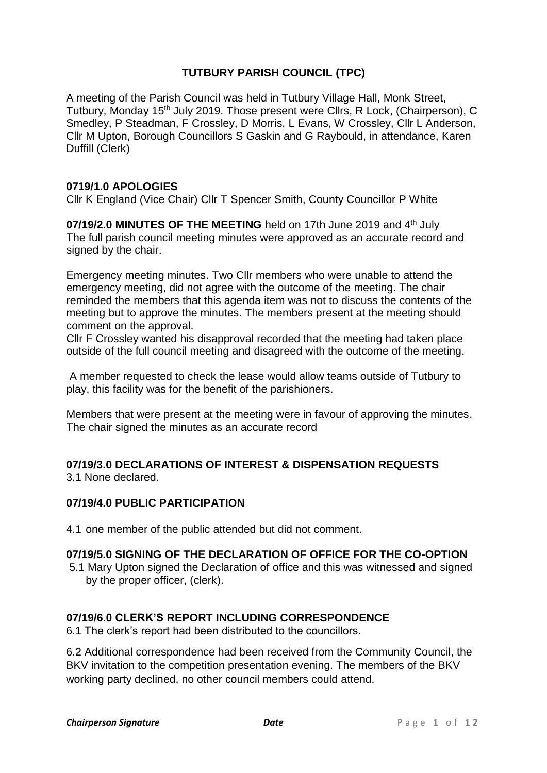# **TUTBURY PARISH COUNCIL (TPC)**

A meeting of the Parish Council was held in Tutbury Village Hall, Monk Street, Tutbury, Monday 15<sup>th</sup> July 2019. Those present were Cllrs, R Lock, (Chairperson), C Smedley, P Steadman, F Crossley, D Morris, L Evans, W Crossley, Cllr L Anderson, Cllr M Upton, Borough Councillors S Gaskin and G Raybould, in attendance, Karen Duffill (Clerk)

### **0719/1.0 APOLOGIES**

Cllr K England (Vice Chair) Cllr T Spencer Smith, County Councillor P White

**07/19/2.0 MINUTES OF THE MEETING** held on 17th June 2019 and 4<sup>th</sup> July The full parish council meeting minutes were approved as an accurate record and signed by the chair.

Emergency meeting minutes. Two Cllr members who were unable to attend the emergency meeting, did not agree with the outcome of the meeting. The chair reminded the members that this agenda item was not to discuss the contents of the meeting but to approve the minutes. The members present at the meeting should comment on the approval.

Cllr F Crossley wanted his disapproval recorded that the meeting had taken place outside of the full council meeting and disagreed with the outcome of the meeting.

A member requested to check the lease would allow teams outside of Tutbury to play, this facility was for the benefit of the parishioners.

Members that were present at the meeting were in favour of approving the minutes. The chair signed the minutes as an accurate record

#### **07/19/3.0 DECLARATIONS OF INTEREST & DISPENSATION REQUESTS** 3.1 None declared.

### **07/19/4.0 PUBLIC PARTICIPATION**

4.1 one member of the public attended but did not comment.

# **07/19/5.0 SIGNING OF THE DECLARATION OF OFFICE FOR THE CO-OPTION**

5.1 Mary Upton signed the Declaration of office and this was witnessed and signed by the proper officer, (clerk).

### **07/19/6.0 CLERK'S REPORT INCLUDING CORRESPONDENCE**

6.1 The clerk's report had been distributed to the councillors.

6.2 Additional correspondence had been received from the Community Council, the BKV invitation to the competition presentation evening. The members of the BKV working party declined, no other council members could attend.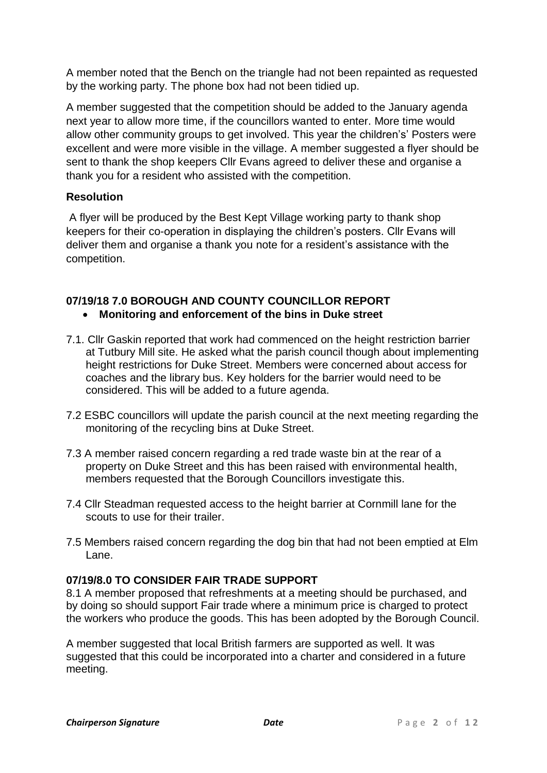A member noted that the Bench on the triangle had not been repainted as requested by the working party. The phone box had not been tidied up.

A member suggested that the competition should be added to the January agenda next year to allow more time, if the councillors wanted to enter. More time would allow other community groups to get involved. This year the children's' Posters were excellent and were more visible in the village. A member suggested a flyer should be sent to thank the shop keepers Cllr Evans agreed to deliver these and organise a thank you for a resident who assisted with the competition.

# **Resolution**

A flyer will be produced by the Best Kept Village working party to thank shop keepers for their co-operation in displaying the children's posters. Cllr Evans will deliver them and organise a thank you note for a resident's assistance with the competition.

# **07/19/18 7.0 BOROUGH AND COUNTY COUNCILLOR REPORT**

- **Monitoring and enforcement of the bins in Duke street**
- 7.1. Cllr Gaskin reported that work had commenced on the height restriction barrier at Tutbury Mill site. He asked what the parish council though about implementing height restrictions for Duke Street. Members were concerned about access for coaches and the library bus. Key holders for the barrier would need to be considered. This will be added to a future agenda.
- 7.2 ESBC councillors will update the parish council at the next meeting regarding the monitoring of the recycling bins at Duke Street.
- 7.3 A member raised concern regarding a red trade waste bin at the rear of a property on Duke Street and this has been raised with environmental health, members requested that the Borough Councillors investigate this.
- 7.4 Cllr Steadman requested access to the height barrier at Cornmill lane for the scouts to use for their trailer.
- 7.5 Members raised concern regarding the dog bin that had not been emptied at Elm Lane.

# **07/19/8.0 TO CONSIDER FAIR TRADE SUPPORT**

8.1 A member proposed that refreshments at a meeting should be purchased, and by doing so should support Fair trade where a minimum price is charged to protect the workers who produce the goods. This has been adopted by the Borough Council.

A member suggested that local British farmers are supported as well. It was suggested that this could be incorporated into a charter and considered in a future meeting.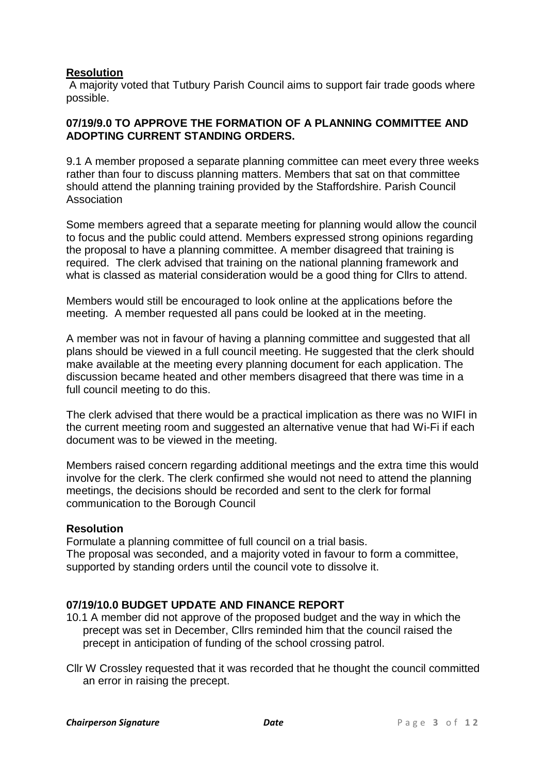## **Resolution**

A majority voted that Tutbury Parish Council aims to support fair trade goods where possible.

### **07/19/9.0 TO APPROVE THE FORMATION OF A PLANNING COMMITTEE AND ADOPTING CURRENT STANDING ORDERS.**

9.1 A member proposed a separate planning committee can meet every three weeks rather than four to discuss planning matters. Members that sat on that committee should attend the planning training provided by the Staffordshire. Parish Council Association

Some members agreed that a separate meeting for planning would allow the council to focus and the public could attend. Members expressed strong opinions regarding the proposal to have a planning committee. A member disagreed that training is required. The clerk advised that training on the national planning framework and what is classed as material consideration would be a good thing for Cllrs to attend.

Members would still be encouraged to look online at the applications before the meeting. A member requested all pans could be looked at in the meeting.

A member was not in favour of having a planning committee and suggested that all plans should be viewed in a full council meeting. He suggested that the clerk should make available at the meeting every planning document for each application. The discussion became heated and other members disagreed that there was time in a full council meeting to do this.

The clerk advised that there would be a practical implication as there was no WIFI in the current meeting room and suggested an alternative venue that had Wi-Fi if each document was to be viewed in the meeting.

Members raised concern regarding additional meetings and the extra time this would involve for the clerk. The clerk confirmed she would not need to attend the planning meetings, the decisions should be recorded and sent to the clerk for formal communication to the Borough Council

### **Resolution**

Formulate a planning committee of full council on a trial basis. The proposal was seconded, and a majority voted in favour to form a committee, supported by standing orders until the council vote to dissolve it.

### **07/19/10.0 BUDGET UPDATE AND FINANCE REPORT**

- 10.1 A member did not approve of the proposed budget and the way in which the precept was set in December, Cllrs reminded him that the council raised the precept in anticipation of funding of the school crossing patrol.
- Cllr W Crossley requested that it was recorded that he thought the council committed an error in raising the precept.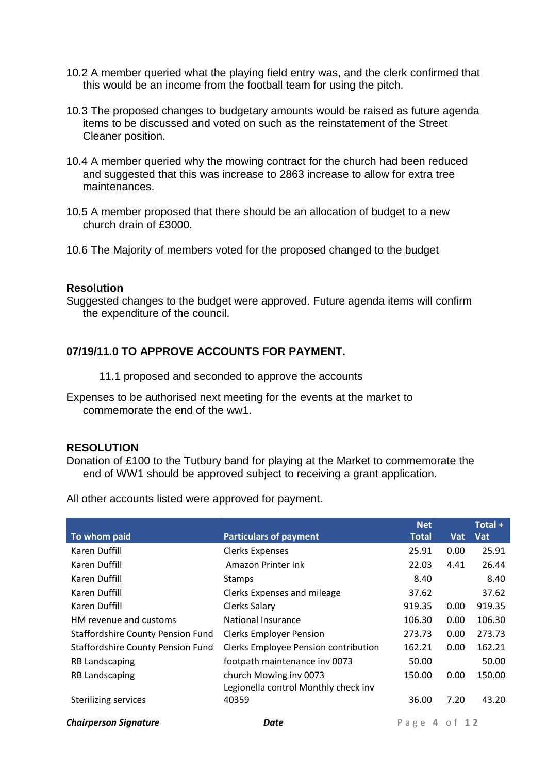- 10.2 A member queried what the playing field entry was, and the clerk confirmed that this would be an income from the football team for using the pitch.
- 10.3 The proposed changes to budgetary amounts would be raised as future agenda items to be discussed and voted on such as the reinstatement of the Street Cleaner position.
- 10.4 A member queried why the mowing contract for the church had been reduced and suggested that this was increase to 2863 increase to allow for extra tree maintenances.
- 10.5 A member proposed that there should be an allocation of budget to a new church drain of £3000.
- 10.6 The Majority of members voted for the proposed changed to the budget

#### **Resolution**

Suggested changes to the budget were approved. Future agenda items will confirm the expenditure of the council.

### **07/19/11.0 TO APPROVE ACCOUNTS FOR PAYMENT.**

- 11.1 proposed and seconded to approve the accounts
- Expenses to be authorised next meeting for the events at the market to commemorate the end of the ww1.

#### **RESOLUTION**

Donation of £100 to the Tutbury band for playing at the Market to commemorate the end of WW1 should be approved subject to receiving a grant application.

All other accounts listed were approved for payment.

|                                          |                                      | <b>Net</b> |         | Total + |
|------------------------------------------|--------------------------------------|------------|---------|---------|
| To whom paid                             | <b>Particulars of payment</b>        | Total      | Vat     | Vat     |
| Karen Duffill                            | <b>Clerks Expenses</b>               | 25.91      | 0.00    | 25.91   |
| Karen Duffill                            | Amazon Printer Ink                   | 22.03      | 4.41    | 26.44   |
| Karen Duffill                            | <b>Stamps</b>                        | 8.40       |         | 8.40    |
| Karen Duffill                            | Clerks Expenses and mileage          | 37.62      |         | 37.62   |
| Karen Duffill                            | Clerks Salary                        | 919.35     | 0.00    | 919.35  |
| HM revenue and customs                   | <b>National Insurance</b>            | 106.30     | 0.00    | 106.30  |
| <b>Staffordshire County Pension Fund</b> | <b>Clerks Employer Pension</b>       | 273.73     | 0.00    | 273.73  |
| <b>Staffordshire County Pension Fund</b> | Clerks Employee Pension contribution | 162.21     | 0.00    | 162.21  |
| <b>RB Landscaping</b>                    | footpath maintenance inv 0073        | 50.00      |         | 50.00   |
| <b>RB Landscaping</b>                    | church Mowing inv 0073               | 150.00     | 0.00    | 150.00  |
|                                          | Legionella control Monthly check inv |            |         |         |
| <b>Sterilizing services</b>              | 40359                                | 36.00      | 7.20    | 43.20   |
| <b>Chairperson Signature</b>             | Date                                 | Page       | 4 of 12 |         |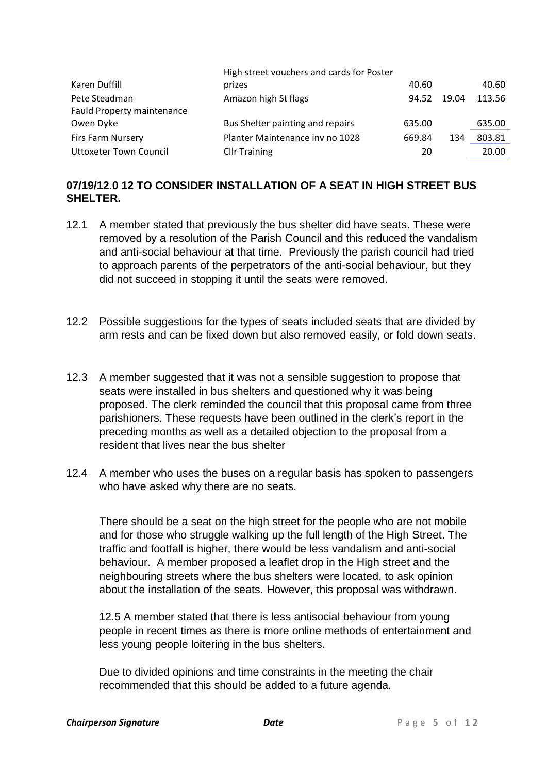|                               | High street vouchers and cards for Poster |        |       |        |
|-------------------------------|-------------------------------------------|--------|-------|--------|
| Karen Duffill                 | prizes                                    | 40.60  |       | 40.60  |
| Pete Steadman                 | Amazon high St flags                      | 94.52  | 19.04 | 113.56 |
| Fauld Property maintenance    |                                           |        |       |        |
| Owen Dyke                     | Bus Shelter painting and repairs          | 635.00 |       | 635.00 |
| Firs Farm Nursery             | Planter Maintenance inv no 1028           | 669.84 | 134   | 803.81 |
| <b>Uttoxeter Town Council</b> | <b>Cllr Training</b>                      | 20     |       | 20.00  |

# **07/19/12.0 12 TO CONSIDER INSTALLATION OF A SEAT IN HIGH STREET BUS SHELTER.**

- 12.1 A member stated that previously the bus shelter did have seats. These were removed by a resolution of the Parish Council and this reduced the vandalism and anti-social behaviour at that time. Previously the parish council had tried to approach parents of the perpetrators of the anti-social behaviour, but they did not succeed in stopping it until the seats were removed.
- 12.2 Possible suggestions for the types of seats included seats that are divided by arm rests and can be fixed down but also removed easily, or fold down seats.
- 12.3 A member suggested that it was not a sensible suggestion to propose that seats were installed in bus shelters and questioned why it was being proposed. The clerk reminded the council that this proposal came from three parishioners. These requests have been outlined in the clerk's report in the preceding months as well as a detailed objection to the proposal from a resident that lives near the bus shelter
- 12.4 A member who uses the buses on a regular basis has spoken to passengers who have asked why there are no seats.

There should be a seat on the high street for the people who are not mobile and for those who struggle walking up the full length of the High Street. The traffic and footfall is higher, there would be less vandalism and anti-social behaviour. A member proposed a leaflet drop in the High street and the neighbouring streets where the bus shelters were located, to ask opinion about the installation of the seats. However, this proposal was withdrawn.

12.5 A member stated that there is less antisocial behaviour from young people in recent times as there is more online methods of entertainment and less young people loitering in the bus shelters.

Due to divided opinions and time constraints in the meeting the chair recommended that this should be added to a future agenda.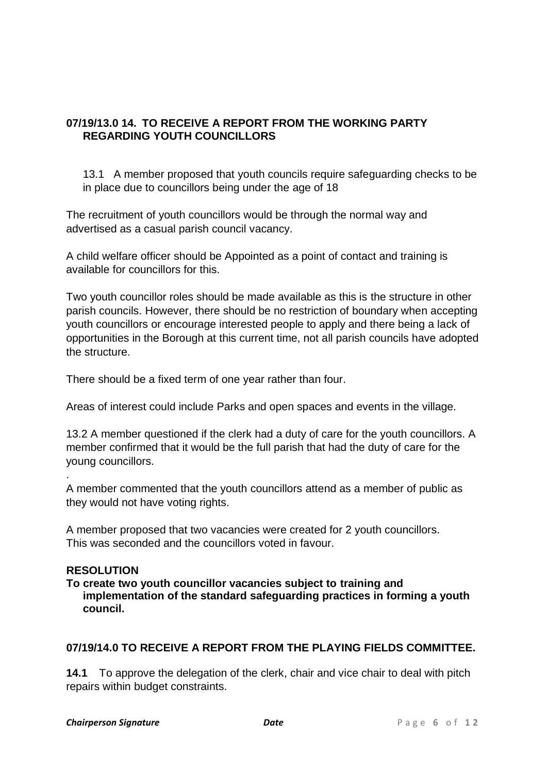# **07/19/13.0 14. TO RECEIVE A REPORT FROM THE WORKING PARTY REGARDING YOUTH COUNCILLORS**

13.1 A member proposed that youth councils require safeguarding checks to be in place due to councillors being under the age of 18

The recruitment of youth councillors would be through the normal way and advertised as a casual parish council vacancy.

A child welfare officer should be Appointed as a point of contact and training is available for councillors for this.

Two youth councillor roles should be made available as this is the structure in other parish councils. However, there should be no restriction of boundary when accepting youth councillors or encourage interested people to apply and there being a lack of opportunities in the Borough at this current time, not all parish councils have adopted the structure.

There should be a fixed term of one year rather than four.

Areas of interest could include Parks and open spaces and events in the village.

13.2 A member questioned if the clerk had a duty of care for the youth councillors. A member confirmed that it would be the full parish that had the duty of care for the young councillors.

A member commented that the youth councillors attend as a member of public as they would not have voting rights.

A member proposed that two vacancies were created for 2 youth councillors. This was seconded and the councillors voted in favour.

### **RESOLUTION**

.

**To create two youth councillor vacancies subject to training and implementation of the standard safeguarding practices in forming a youth council.**

# **07/19/14.0 TO RECEIVE A REPORT FROM THE PLAYING FIELDS COMMITTEE.**

**14.1** To approve the delegation of the clerk, chair and vice chair to deal with pitch repairs within budget constraints.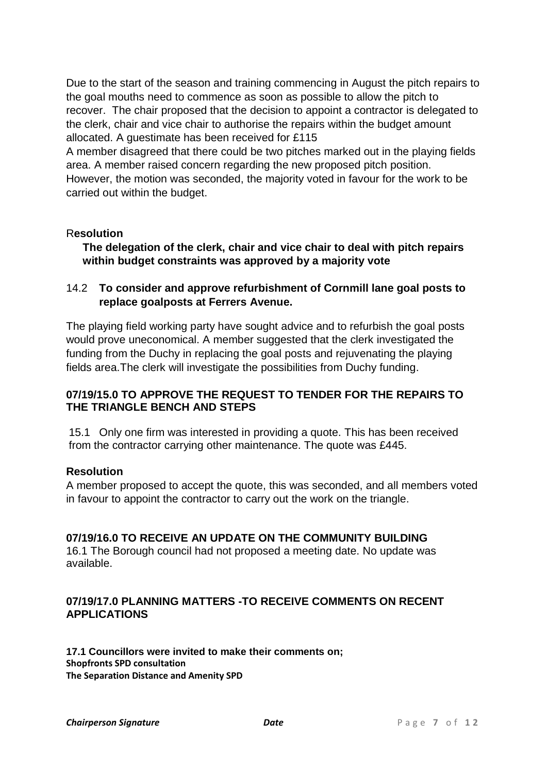Due to the start of the season and training commencing in August the pitch repairs to the goal mouths need to commence as soon as possible to allow the pitch to recover. The chair proposed that the decision to appoint a contractor is delegated to the clerk, chair and vice chair to authorise the repairs within the budget amount allocated. A guestimate has been received for £115

A member disagreed that there could be two pitches marked out in the playing fields area. A member raised concern regarding the new proposed pitch position. However, the motion was seconded, the majority voted in favour for the work to be carried out within the budget.

## R**esolution**

**The delegation of the clerk, chair and vice chair to deal with pitch repairs within budget constraints was approved by a majority vote**

## 14.2 **To consider and approve refurbishment of Cornmill lane goal posts to replace goalposts at Ferrers Avenue.**

The playing field working party have sought advice and to refurbish the goal posts would prove uneconomical. A member suggested that the clerk investigated the funding from the Duchy in replacing the goal posts and rejuvenating the playing fields area.The clerk will investigate the possibilities from Duchy funding.

### **07/19/15.0 TO APPROVE THE REQUEST TO TENDER FOR THE REPAIRS TO THE TRIANGLE BENCH AND STEPS**

15.1 Only one firm was interested in providing a quote. This has been received from the contractor carrying other maintenance. The quote was £445.

### **Resolution**

A member proposed to accept the quote, this was seconded, and all members voted in favour to appoint the contractor to carry out the work on the triangle.

### **07/19/16.0 TO RECEIVE AN UPDATE ON THE COMMUNITY BUILDING**

16.1 The Borough council had not proposed a meeting date. No update was available.

## **07/19/17.0 PLANNING MATTERS -TO RECEIVE COMMENTS ON RECENT APPLICATIONS**

**17.1 Councillors were invited to make their comments on; Shopfronts SPD consultation The Separation Distance and Amenity SPD**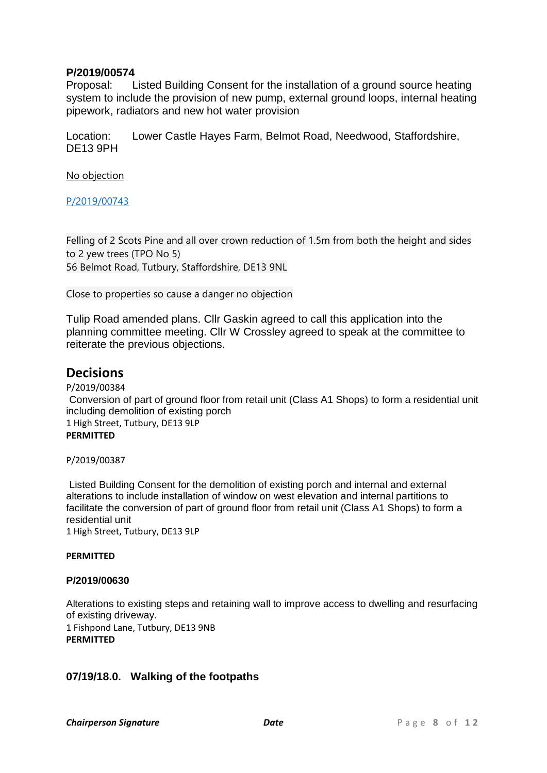### **P/2019/00574**

Proposal: Listed Building Consent for the installation of a ground source heating system to include the provision of new pump, external ground loops, internal heating pipework, radiators and new hot water provision

Location: Lower Castle Hayes Farm, Belmot Road, Needwood, Staffordshire, DE13 9PH

No objection

[P/2019/00743](http://www.eaststaffsbc.gov.uk/MVM/Online/dms/DocumentViewer.aspx?PK=633726&SearchType=Planning%20Application)

Felling of 2 Scots Pine and all over crown reduction of 1.5m from both the height and sides to 2 yew trees (TPO No 5) 56 Belmot Road, Tutbury, Staffordshire, DE13 9NL

Close to properties so cause a danger no objection

Tulip Road amended plans. Cllr Gaskin agreed to call this application into the planning committee meeting. Cllr W Crossley agreed to speak at the committee to reiterate the previous objections.

# **Decisions**

P/2019/00384 Conversion of part of ground floor from retail unit (Class A1 Shops) to form a residential unit including demolition of existing porch 1 High Street, Tutbury, DE13 9LP **PERMITTED**

P/2019/00387

Listed Building Consent for the demolition of existing porch and internal and external alterations to include installation of window on west elevation and internal partitions to facilitate the conversion of part of ground floor from retail unit (Class A1 Shops) to form a residential unit 1 High Street, Tutbury, DE13 9LP

**PERMITTED**

### **P/2019/00630**

Alterations to existing steps and retaining wall to improve access to dwelling and resurfacing of existing driveway. 1 Fishpond Lane, Tutbury, DE13 9NB **PERMITTED**

### **07/19/18.0. Walking of the footpaths**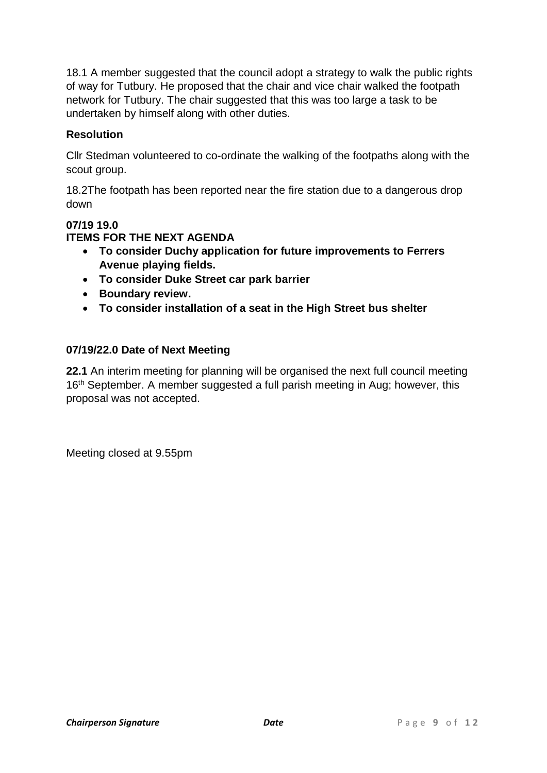18.1 A member suggested that the council adopt a strategy to walk the public rights of way for Tutbury. He proposed that the chair and vice chair walked the footpath network for Tutbury. The chair suggested that this was too large a task to be undertaken by himself along with other duties.

# **Resolution**

Cllr Stedman volunteered to co-ordinate the walking of the footpaths along with the scout group.

18.2The footpath has been reported near the fire station due to a dangerous drop down

# **07/19 19.0**

## **ITEMS FOR THE NEXT AGENDA**

- **To consider Duchy application for future improvements to Ferrers Avenue playing fields.**
- **To consider Duke Street car park barrier**
- **Boundary review.**
- **To consider installation of a seat in the High Street bus shelter**

# **07/19/22.0 Date of Next Meeting**

**22.1** An interim meeting for planning will be organised the next full council meeting 16<sup>th</sup> September. A member suggested a full parish meeting in Aug; however, this proposal was not accepted.

Meeting closed at 9.55pm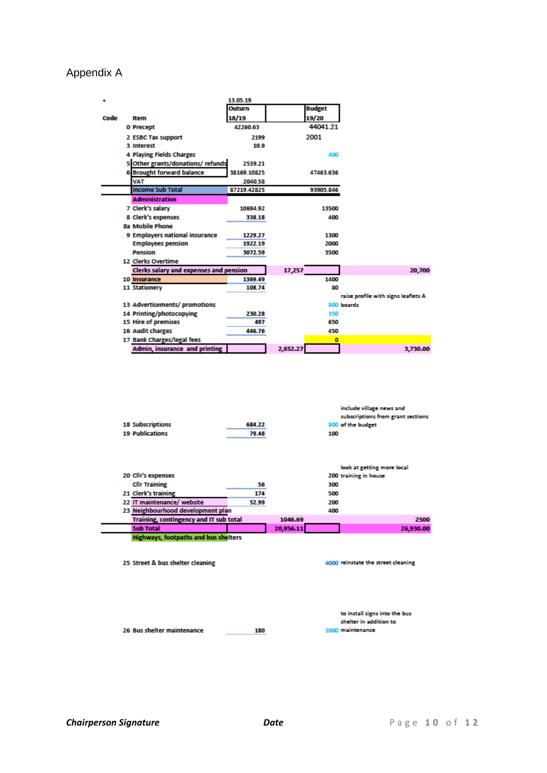# Appendix A

| ÷    |                                               | 13.05.19    |          |               |                                     |
|------|-----------------------------------------------|-------------|----------|---------------|-------------------------------------|
|      |                                               | Outurn      |          | <b>Budget</b> |                                     |
| Code | Item                                          | 18/19       |          | 19/20         |                                     |
|      | 0 Precept                                     | 42260.63    |          | 44041.21      |                                     |
|      | 2 ESBC Tax support                            | 2199        |          | 2001          |                                     |
|      | <b>3 Interest</b>                             | 10.9        |          |               |                                     |
|      | 4 Playing Fields Charges                      |             |          | 400           |                                     |
|      | 5 Other grants/donations/refunds              | 2539.21     |          |               |                                     |
|      | <b>6 Brought forward balance</b>              | 38169.10825 |          | 47463.636     |                                     |
|      | <b>VAT</b>                                    | 2040.58     |          |               |                                     |
|      | <b>Income Sub Total</b>                       | 87219.42825 |          | 93905.846     |                                     |
|      | <b>Administration</b>                         |             |          |               |                                     |
|      | 7 Clerk's salary                              | 10694.92    |          | 13500         |                                     |
|      | 8 Clerk's expenses                            | 338.18      |          | 400           |                                     |
|      | <b>8a Mobile Phone</b>                        |             |          |               |                                     |
|      | 9 Employers national insurance                | 1229.27     |          | 1300          |                                     |
|      | <b>Employees pension</b>                      | 1922.19     |          | 2000          |                                     |
|      | Pension                                       | 3072.59     |          | 3500          |                                     |
|      | 12 Clerks Overtime                            |             |          |               |                                     |
|      | <b>Clerks salary and expenses and pension</b> |             | 17,257   |               | 20,700                              |
|      | 10 Insurance                                  | 1369.49     |          | 1400          |                                     |
|      | <b>11 Stationery</b>                          | 108.74      |          | 80            |                                     |
|      |                                               |             |          |               | raise profile with signs leaflets A |
|      | 13 Advertisements/ promotions                 |             |          |               | 800 boards                          |
|      | 14 Printing/photocopying                      | 230.28      |          | 350           |                                     |
|      | 15 Hire of premises                           | 497         |          | 650           |                                     |
|      | <b>16 Audit charges</b>                       | 446.76      |          | 450           |                                     |
|      | 17 Bank Charges/legal fees                    |             |          | o             |                                     |
|      | <b>Admin, insurance and printing</b>          |             | 2,652.27 |               | 3,730.00                            |

| <b>18 Subscriptions</b> | 684.22 | include village news and<br>subscriptions from grant sections<br>800 of the budget |
|-------------------------|--------|------------------------------------------------------------------------------------|
| <b>19 Publications</b>  | 79.48  | 100                                                                                |
|                         |        |                                                                                    |
|                         |        | look at getting more local                                                         |
| 20 Cllr's expenses      |        | 200 training in house                                                              |
| <b>Cllr Training</b>    | 56     | 300                                                                                |

| __________                                    |       |           |     |           |
|-----------------------------------------------|-------|-----------|-----|-----------|
| 21 Clerk's training                           | 174   |           | 500 |           |
| 22 IT maintenance/ website                    | 52.99 |           | 200 |           |
| 23 Neighbourhood development plan             |       |           | 400 |           |
| <b>Training, contingency and IT sub total</b> |       | 1046.69   |     | 2500      |
| <b>Sub Total</b>                              |       | 20,956.11 |     | 26,930.00 |
| <b>Highways, footpaths and bus shelters</b>   |       |           |     |           |

25 Street & bus shelter cleaning

4000 reinstate the street cleaning

26 Bus shelter maintenance

180

to install signs into the bus shelter in addition to 1000 maintenance

 $\overline{\phantom{0}}$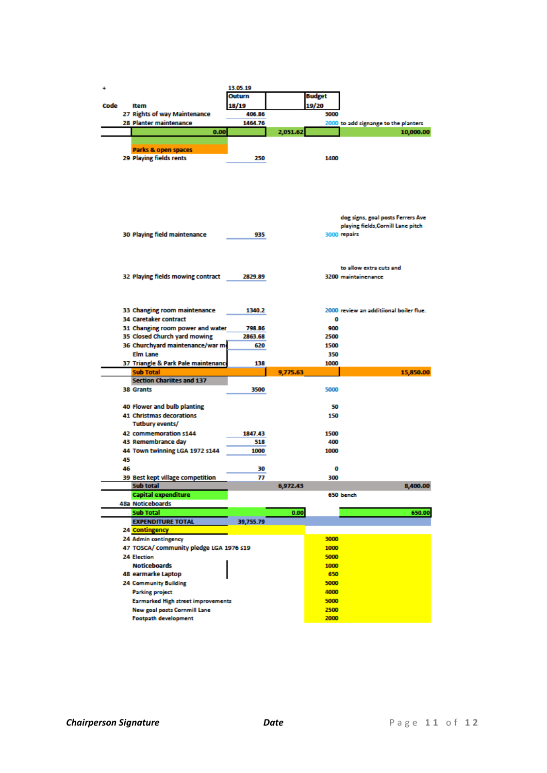| ÷    |    |                                           | 13.05.19  |          |               |                                         |
|------|----|-------------------------------------------|-----------|----------|---------------|-----------------------------------------|
|      |    |                                           | Outurn    |          | <b>Budget</b> |                                         |
| Code |    | Item                                      | 18/19     |          | 19/20         |                                         |
|      |    | 27 Rights of way Maintenance              | 406.86    |          | 3000          |                                         |
|      |    | 28 Planter maintenance                    | 1464.76   |          |               | 2000 to add signange to the planters    |
|      |    | 0.00                                      |           | 2,051.62 |               | 10,000.00                               |
|      |    |                                           |           |          |               |                                         |
|      |    | Parks & open spaces                       |           |          |               |                                         |
|      |    | 29 Playing fields rents                   | 250       |          | 1400          |                                         |
|      |    |                                           |           |          |               |                                         |
|      |    |                                           |           |          |               |                                         |
|      |    |                                           |           |          |               |                                         |
|      |    |                                           |           |          |               |                                         |
|      |    |                                           |           |          |               |                                         |
|      |    |                                           |           |          |               |                                         |
|      |    |                                           |           |          |               | dog signs, goal posts Ferrers Ave       |
|      |    |                                           |           |          |               | playing fields, Cornill Lane pitch      |
|      |    | <b>30 Playing field maintenance</b>       | 935       |          |               | 3000 repairs                            |
|      |    |                                           |           |          |               |                                         |
|      |    |                                           |           |          |               |                                         |
|      |    |                                           |           |          |               |                                         |
|      |    |                                           |           |          |               | to allow extra cuts and                 |
|      |    | 32 Playing fields mowing contract         | 2829.89   |          |               | 3200 maintainenance                     |
|      |    |                                           |           |          |               |                                         |
|      |    |                                           |           |          |               |                                         |
|      |    |                                           |           |          |               |                                         |
|      |    | 33 Changing room maintenance              | 1340.2    |          |               | 2000 review an additiional boiler flue. |
|      |    | 34 Caretaker contract                     |           |          | 0             |                                         |
|      |    | 31 Changing room power and water          | 798.86    |          | 900           |                                         |
|      |    | 35 Closed Church yard mowing              | 2863.68   |          | 2500          |                                         |
|      |    | 36 Churchyard maintenance/war m           | 620       |          | 1500          |                                         |
|      |    | <b>Elm Lane</b>                           |           |          | 350           |                                         |
|      |    | 37 Triangle & Park Pale maintenance       | 138       |          | 1000          |                                         |
|      |    | <b>Sub Total</b>                          |           |          |               |                                         |
|      |    |                                           |           |          |               |                                         |
|      |    |                                           |           | 9,775.63 |               | 15,850.00                               |
|      |    | <b>Section Chariites and 137</b>          |           |          |               |                                         |
|      |    | 38 Grants                                 | 3500      |          | 5000          |                                         |
|      |    |                                           |           |          |               |                                         |
|      |    | 40 Flower and bulb planting               |           |          | 50            |                                         |
|      |    | 41 Christmas decorations                  |           |          | 150           |                                         |
|      |    | Tutbury events/                           |           |          |               |                                         |
|      |    | 42 commemoration s144                     | 1847.43   |          | 1500          |                                         |
|      |    | 43 Remembrance day                        | 518       |          | 400           |                                         |
|      |    | 44 Town twinning LGA 1972 s144            | 1000      |          | 1000          |                                         |
|      | 45 |                                           |           |          |               |                                         |
|      | 46 |                                           | 30        |          | 0             |                                         |
|      |    | 39 Best kept village competition          | 77        |          | 300           |                                         |
|      |    | Sub total                                 |           | 6,972.43 |               | 8,400.00                                |
|      |    | <b>Capital expenditure</b>                |           |          |               | 650 bench                               |
|      |    | 48a Noticeboards                          |           |          |               |                                         |
|      |    | <b>Sub Total</b>                          |           | 0.00     |               | 650.00                                  |
|      |    | <b>EXPENDITURE TOTAL</b>                  | 39,755.79 |          |               |                                         |
|      |    | 24 Contingency                            |           |          |               |                                         |
|      |    | 24 Admin contingency                      |           |          | 3000          |                                         |
|      |    | 47 TOSCA/ community pledge LGA 1976 s19   |           |          | 1000          |                                         |
|      |    | <b>24 Election</b>                        |           |          | 5000          |                                         |
|      |    | <b>Noticeboards</b>                       |           |          | 1000          |                                         |
|      |    | 48 earmarke Laptop                        |           |          | 650           |                                         |
|      |    | 24 Community Building                     |           |          | 5000          |                                         |
|      |    | <b>Parking project</b>                    |           |          | 4000          |                                         |
|      |    | <b>Earmarked High street improvements</b> |           |          | 5000          |                                         |
|      |    | <b>New goal posts Cornmill Lane</b>       |           |          | 2500          |                                         |